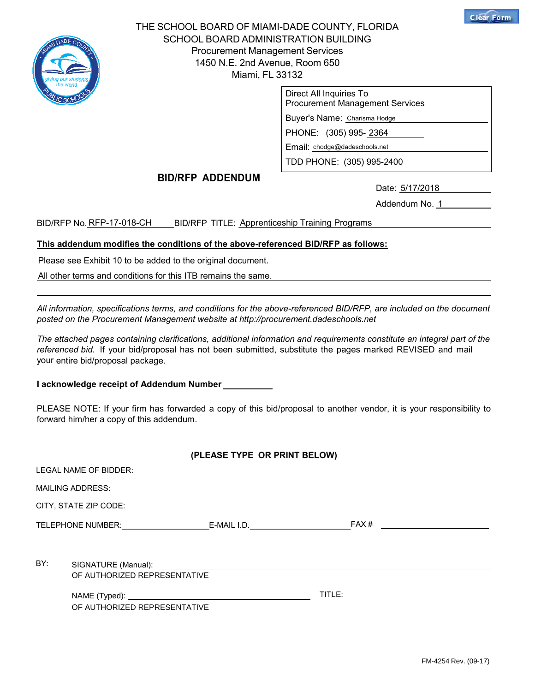

THE SCHOOL BOARD OF MIAMI-DADE COUNTY, FLORIDA SCHOOL BOARD ADMINISTRATION BUILDING Procurement Management Services 1450 N.E. 2nd Avenue, Room 650 Miami, FL 33132

| Direct All Inquiries To<br><b>Procurement Management Services</b> |  |  |  |
|-------------------------------------------------------------------|--|--|--|
| Buyer's Name: Charisma Hodge                                      |  |  |  |
| PHONE: (305) 995-2364                                             |  |  |  |
| Email: chodge@dadeschools.net                                     |  |  |  |
| TDD PHONE: (305) 995-2400                                         |  |  |  |

## BID/RFP ADDENDUM

Date: 5/17/2018

Date: <u>5/17/2018</u><br>Addendum No. <u>1</u>

**Clear Form**

BID/RFP No. <u>RFP-17-018-CH</u> \_\_\_\_BID/RFP\_TITLE: <u>Apprenticeship Training Programs</u>

#### This addendum modifies the conditions of the above-referenced BID/RFP as follows:

Please see Exhibit 10 to be added to the original document.

All other terms and conditions for this ITB remains the same.

All information, specifications terms, and conditions for the above-referenced BID/RFP, are included on the document posted on the Procurement Management website at http://procurement.dadeschools.net

The attached pages containing clarifications, additional information and requirements constitute an integral part of the referenced bid. If your bid/proposal has not been submitted, substitute the pages marked REVISED and mail your entire bid/proposal package.

I acknowledge receipt of Addendum Number

PLEASE NOTE: If your firm has forwarded a copy of this bid/proposal to another vendor, it is your responsibility to forward him/her a copy of this addendum.

## (PLEASE TYPE OR PRINT BELOW)

| BY: | OF AUTHORIZED REPRESENTATIVE |  |  |  |
|-----|------------------------------|--|--|--|
|     |                              |  |  |  |
|     | OF AUTHORIZED REPRESENTATIVE |  |  |  |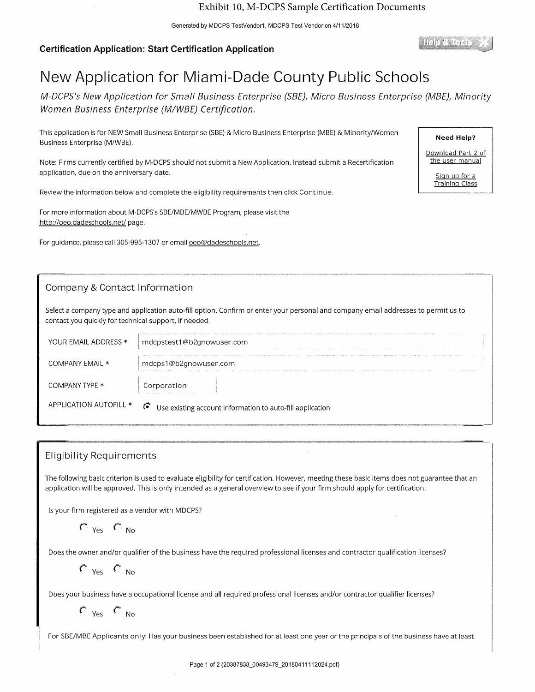Generated by MDCPS TestVendor1, MDCPS Test Vendor on 4/11/2018

## **Certification Application: Start Certification Application**

Help & Tooks

**Need Help?** 

Download Part 2 of the user manual

> Sign up for a **Training Class**

# New Application for Miami-Dade County Public Schools

M-DCPS's New Application for Small Business Enterprise (SBE), Micro Business Enterprise (MBE), Minority Women Business Enterprise (M/WBE) Certification.

This application is for NEW Small Business Enterprise (SBE) & Micro Business Enterprise (MBE) & Minority/Women Business Enterprise (M/WBE).

Note: Firms currently certified by M-DCPS should not submit a New Application. Instead submit a Recertification application, due on the anniversary date.

Review the information below and complete the eligibility requirements then click Continue.

For more information about M-DCPS's SBE/MBE/MWBE Program, please visit the http://oeo.dadeschools.net/ page.

For quidance, please call 305-995-1307 or email oeo@dadeschools.net.

## Company & Contact Information

Select a company type and application auto-fill option. Confirm or enter your personal and company email addresses to permit us to contact you quickly for technical support, if needed.

| YOUR EMAIL ADDRESS *   | total concerts for a chief that he comes a set to content to the contribution to complete the manager of concert<br>mdcpstest1@b2gnowuser.com                                                                                                 |
|------------------------|-----------------------------------------------------------------------------------------------------------------------------------------------------------------------------------------------------------------------------------------------|
| COMPANY EMAIL *        | mdcps1@b2gnowuser.com<br>The model process process and a                                                                                                                                                                                      |
| COMPANY TYPE *         | Corporation<br>the model of the management of the second control of the second control of the second control of the second control of the second control of the second control of the second control of the second control of the second cont |
| APPLICATION AUTOFILL * | G.<br>Use existing account information to auto-fill application                                                                                                                                                                               |

## **Eligibility Requirements**

The following basic criterion is used to evaluate eligibility for certification. However, meeting these basic items does not guarantee that an application will be approved. This is only intended as a general overview to see if your firm should apply for certification.

Is your firm registered as a vendor with MDCPS?

 $C_{\text{Yes}} C_{\text{No}}$ 

Does the owner and/or qualifier of the business have the required professional licenses and contractor qualification licenses?

 $C_{\text{Yes}} C_{\text{No}}$ 

Does your business have a occupational license and all required professional licenses and/or contractor qualifier licenses?

 $C_{\text{Yes}} C_{\text{No}}$ 

For SBE/MBE Applicants only: Has your business been established for at least one year or the principals of the business have at least